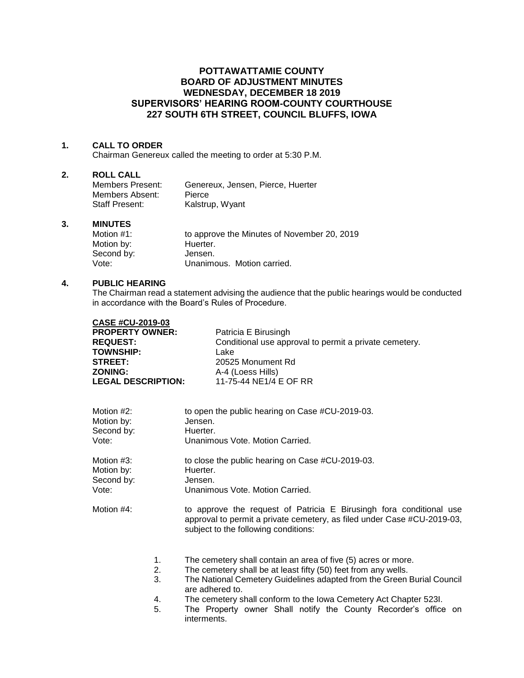# **POTTAWATTAMIE COUNTY BOARD OF ADJUSTMENT MINUTES WEDNESDAY, DECEMBER 18 2019 SUPERVISORS' HEARING ROOM-COUNTY COURTHOUSE 227 SOUTH 6TH STREET, COUNCIL BLUFFS, IOWA**

### **1. CALL TO ORDER**

Chairman Genereux called the meeting to order at 5:30 P.M.

### **2. ROLL CALL**

| Members Present: | Genereux, Jensen, Pierce, Huerter |
|------------------|-----------------------------------|
| Members Absent:  | Pierce                            |
| Staff Present:   | Kalstrup, Wyant                   |

#### **3. MINUTES**

| Motion $#1$ : | to approve the Minutes of November 20, 2019 |
|---------------|---------------------------------------------|
| Motion by:    | Huerter.                                    |
| Second by:    | Jensen.                                     |
| Vote:         | Unanimous. Motion carried.                  |

#### **4. PUBLIC HEARING**

The Chairman read a statement advising the audience that the public hearings would be conducted in accordance with the Board's Rules of Procedure.

| <b>CASE #CU-2019-03</b>   |                                                                                                                                                                                        |
|---------------------------|----------------------------------------------------------------------------------------------------------------------------------------------------------------------------------------|
| <b>PROPERTY OWNER:</b>    | Patricia E Birusingh                                                                                                                                                                   |
| <b>REQUEST:</b>           | Conditional use approval to permit a private cemetery.                                                                                                                                 |
| <b>TOWNSHIP:</b>          | Lake                                                                                                                                                                                   |
| <b>STREET:</b>            | 20525 Monument Rd                                                                                                                                                                      |
| <b>ZONING:</b>            | A-4 (Loess Hills)                                                                                                                                                                      |
| <b>LEGAL DESCRIPTION:</b> | 11-75-44 NE1/4 E OF RR                                                                                                                                                                 |
| Motion #2:                | to open the public hearing on Case #CU-2019-03.                                                                                                                                        |
| Motion by:                | Jensen.                                                                                                                                                                                |
| Second by:                | Huerter.                                                                                                                                                                               |
| Vote:                     | Unanimous Vote, Motion Carried.                                                                                                                                                        |
| Motion #3:                | to close the public hearing on Case #CU-2019-03.                                                                                                                                       |
| Motion by:                | Huerter.                                                                                                                                                                               |
| Second by:                | Jensen.                                                                                                                                                                                |
| Vote:                     | Unanimous Vote, Motion Carried.                                                                                                                                                        |
| Motion #4:                | to approve the request of Patricia E Birusingh fora conditional use<br>approval to permit a private cemetery, as filed under Case #CU-2019-03,<br>subject to the following conditions: |
| 1.                        | The cemetery shall contain an area of five (5) acres or more.                                                                                                                          |
| 2.                        | The cemetery shall be at least fifty (50) feet from any wells.                                                                                                                         |
| 3.                        | The National Cemetery Guidelines adapted from the Green Burial Council<br>are adhered to.                                                                                              |
| 4.                        | The cemetery shall conform to the Iowa Cemetery Act Chapter 523I.                                                                                                                      |
| 5.                        | The Property owner Shall notify the County Recorder's office on<br>interments.                                                                                                         |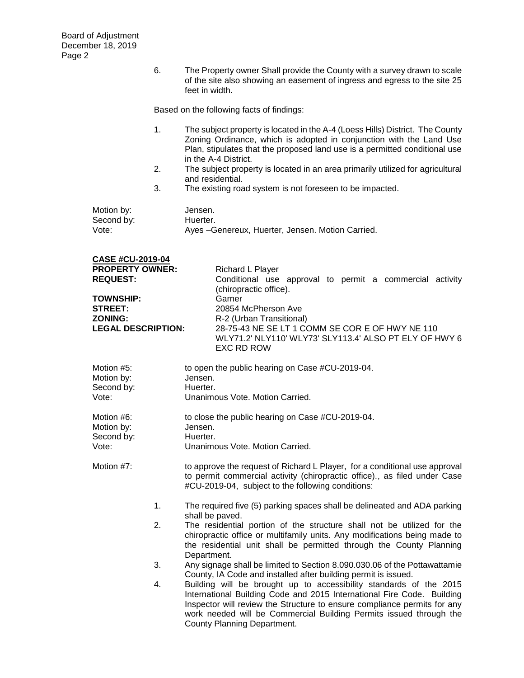**CASE #CU-2019-04**

6. The Property owner Shall provide the County with a survey drawn to scale of the site also showing an easement of ingress and egress to the site 25 feet in width.

Based on the following facts of findings:

- 1. The subject property is located in the A-4 (Loess Hills) District. The County Zoning Ordinance, which is adopted in conjunction with the Land Use Plan, stipulates that the proposed land use is a permitted conditional use in the A-4 District.
- 2. The subject property is located in an area primarily utilized for agricultural and residential.
- 3. The existing road system is not foreseen to be impacted.

| Motion by: | Jensen.                                           |
|------------|---------------------------------------------------|
| Second by: | Huerter.                                          |
| Vote:      | Ayes - Genereux, Huerter, Jensen. Motion Carried. |

| UAJE #UU-ZUI 9-04         |                                                                                                                         |
|---------------------------|-------------------------------------------------------------------------------------------------------------------------|
| <b>PROPERTY OWNER:</b>    | <b>Richard L Player</b>                                                                                                 |
| <b>REQUEST:</b>           | Conditional use approval to permit a commercial activity<br>(chiropractic office).                                      |
| <b>TOWNSHIP:</b>          | Garner                                                                                                                  |
| <b>STREET:</b>            | 20854 McPherson Ave                                                                                                     |
| <b>ZONING:</b>            | R-2 (Urban Transitional)                                                                                                |
| <b>LEGAL DESCRIPTION:</b> | 28-75-43 NE SE LT 1 COMM SE COR E OF HWY NE 110<br>WLY71.2' NLY110' WLY73' SLY113.4' ALSO PT ELY OF HWY 6<br>EXC RD ROW |
| Motion #5:<br>Motion by:  | to open the public hearing on Case #CU-2019-04.<br>Jensen.                                                              |
| Second by:                | Huerter.                                                                                                                |
| Vote:                     | Unanimous Vote, Motion Carried.                                                                                         |

| Motion #6: | to close the public hearing on Case #CU-2019-04. |
|------------|--------------------------------------------------|
| Motion by: | Jensen.                                          |
| Second by: | Huerter.                                         |
| Vote:      | Unanimous Vote. Motion Carried.                  |

- Motion #7: to approve the request of Richard L Player, for a conditional use approval to permit commercial activity (chiropractic office)., as filed under Case #CU-2019-04, subject to the following conditions:
	- 1. The required five (5) parking spaces shall be delineated and ADA parking shall be paved.
	- 2. The residential portion of the structure shall not be utilized for the chiropractic office or multifamily units. Any modifications being made to the residential unit shall be permitted through the County Planning Department.
	- 3. Any signage shall be limited to Section 8.090.030.06 of the Pottawattamie County, IA Code and installed after building permit is issued.
	- 4. Building will be brought up to accessibility standards of the 2015 International Building Code and 2015 International Fire Code. Building Inspector will review the Structure to ensure compliance permits for any work needed will be Commercial Building Permits issued through the County Planning Department.